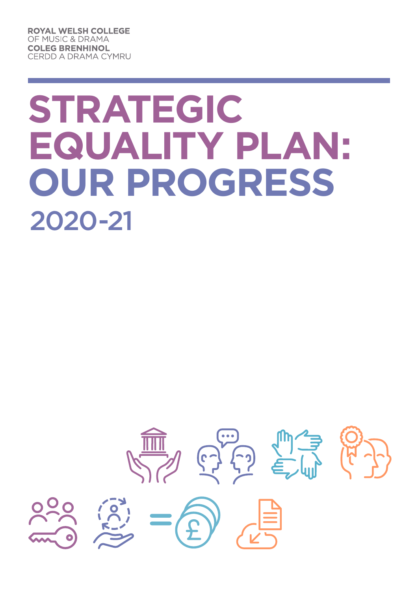**ROYAL WELSH COLLEGE** OF MUSIC & DRAMA **COLEG BRENHINOL CERDD A DRAMA CYMRU** 

# **Strategic Equality Plan: Our Progress** 2020-21

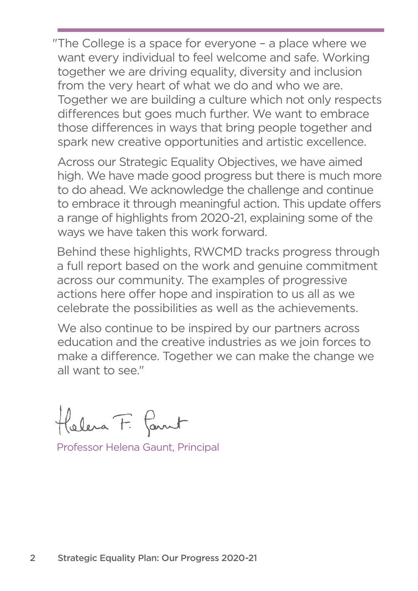"The College is a space for everyone – a place where we want every individual to feel welcome and safe. Working together we are driving equality, diversity and inclusion from the very heart of what we do and who we are. Together we are building a culture which not only respects differences but goes much further. We want to embrace those differences in ways that bring people together and spark new creative opportunities and artistic excellence.

 Across our Strategic Equality Objectives, we have aimed high. We have made good progress but there is much more to do ahead. We acknowledge the challenge and continue to embrace it through meaningful action. This update offers a range of highlights from 2020-21, explaining some of the ways we have taken this work forward.

Behind these highlights, RWCMD tracks progress through a full report based on the work and genuine commitment across our community. The examples of progressive actions here offer hope and inspiration to us all as we celebrate the possibilities as well as the achievements.

We also continue to be inspired by our partners across education and the creative industries as we join forces to make a difference. Together we can make the change we all want to see."

Holera F. Parnt

Professor Helena Gaunt, Principal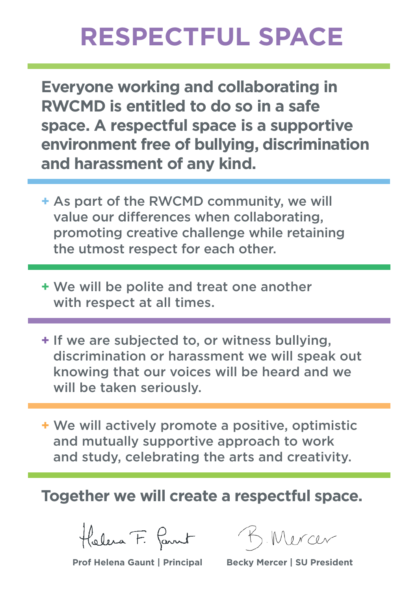## **Respectful Space**

**Everyone working and collaborating in RWCMD is entitled to do so in a safe space. A respectful space is a supportive environment free of bullying, discrimination and harassment of any kind.**

- **+** As part of the RWCMD community, we will value our differences when collaborating, promoting creative challenge while retaining the utmost respect for each other.
- **+** We will be polite and treat one another with respect at all times.
- **+** If we are subjected to, or witness bullying, discrimination or harassment we will speak out knowing that our voices will be heard and we will be taken seriously.
- **+** We will actively promote a positive, optimistic and mutually supportive approach to work and study, celebrating the arts and creativity.

**Together we will create a respectful space.**

Holera F. Parnt

**Prof Helena Gaunt | Principal Becky Mercer | SU President**

). Mercer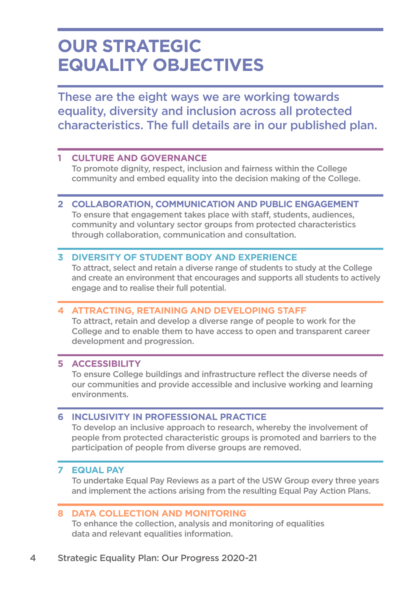### **Our Strategic Equality Objectives**

These are the eight ways we are working towards equality, diversity and inclusion across all protected characteristics. The full details are in our published plan.

#### **1 CULTURE AND GOVERNANCE**

 To promote dignity, respect, inclusion and fairness within the College community and embed equality into the decision making of the College.

#### **2 COLLABORATION, COMMUNICATION AND PUBLIC ENGAGEMENT**

 To ensure that engagement takes place with staff, students, audiences, community and voluntary sector groups from protected characteristics through collaboration, communication and consultation.

#### **3 DIVERSITY OF STUDENT BODY AND EXPERIENCE**

 To attract, select and retain a diverse range of students to study at the College and create an environment that encourages and supports all students to actively engage and to realise their full potential.

#### **4 ATTRACTING, RETAINING AND DEVELOPING STAFF**

 To attract, retain and develop a diverse range of people to work for the College and to enable them to have access to open and transparent career development and progression.

#### **5 ACCESSIBILITY**

 To ensure College buildings and infrastructure reflect the diverse needs of our communities and provide accessible and inclusive working and learning environments.

#### **6 INCLUSIVITY IN PROFESSIONAL PRACTICE**

 To develop an inclusive approach to research, whereby the involvement of people from protected characteristic groups is promoted and barriers to the participation of people from diverse groups are removed.

#### **7 EQUAL PAY**

To undertake Equal Pay Reviews as a part of the USW Group every three years and implement the actions arising from the resulting Equal Pay Action Plans.

#### **8 DATA COLLECTION AND MONITORING**

 To enhance the collection, analysis and monitoring of equalities data and relevant equalities information.

#### 4 Strategic Equality Plan: Our Progress 2020-21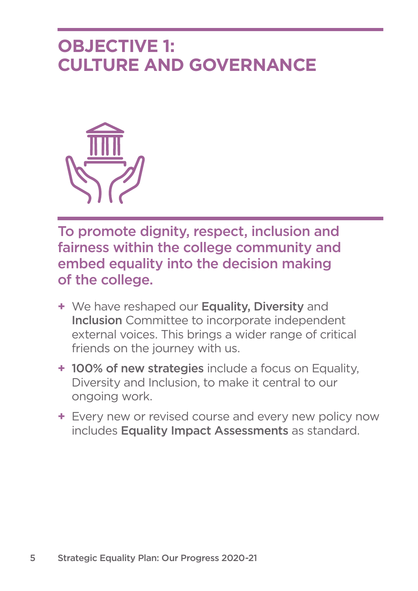### **OBJECTIVE 1: Culture and Governance**



To promote dignity, respect, inclusion and fairness within the college community and embed equality into the decision making of the college.

- **+** We have reshaped our Equality, Diversity and Inclusion Committee to incorporate independent external voices. This brings a wider range of critical friends on the journey with us.
- **+** 100% of new strategies include a focus on Equality, Diversity and Inclusion, to make it central to our ongoing work.
- **+** Every new or revised course and every new policy now includes Equality Impact Assessments as standard.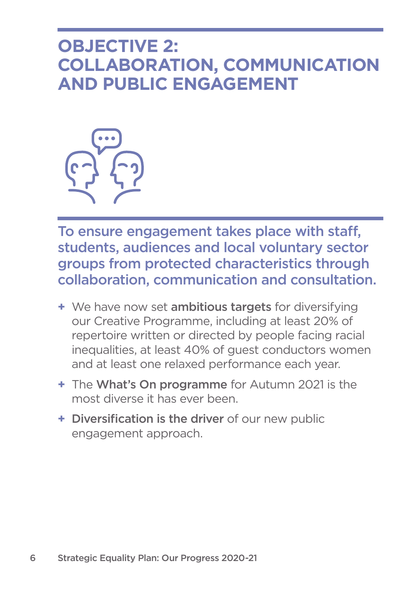### **OBJECTIVE 2: Collaboration, Communication and Public Engagement**



To ensure engagement takes place with staff, students, audiences and local voluntary sector groups from protected characteristics through collaboration, communication and consultation.

- **+** We have now set ambitious targets for diversifying our Creative Programme, including at least 20% of repertoire written or directed by people facing racial inequalities, at least 40% of guest conductors women and at least one relaxed performance each year.
- **+** The What's On programme for Autumn 2021 is the most diverse it has ever been.
- **+** Diversification is the driver of our new public engagement approach.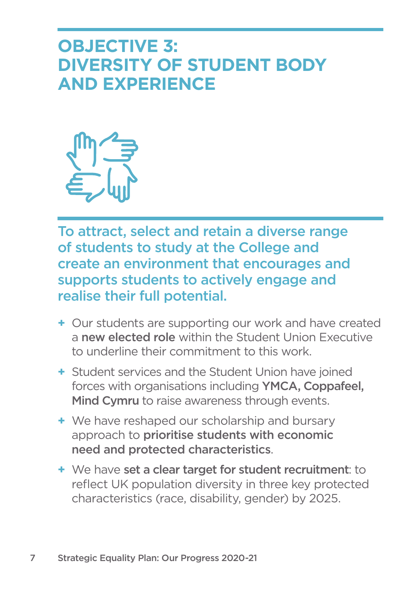### **OBJECTIVE 3: Diversity of Student Body and Experience**



To attract, select and retain a diverse range of students to study at the College and create an environment that encourages and supports students to actively engage and realise their full potential.

- **+** Our students are supporting our work and have created a new elected role within the Student Union Executive to underline their commitment to this work.
- **+** Student services and the Student Union have joined forces with organisations including YMCA, Coppafeel, Mind Cymru to raise awareness through events.
- **+** We have reshaped our scholarship and bursary approach to prioritise students with economic need and protected characteristics.
- **+** We have set a clear target for student recruitment: to reflect UK population diversity in three key protected characteristics (race, disability, gender) by 2025.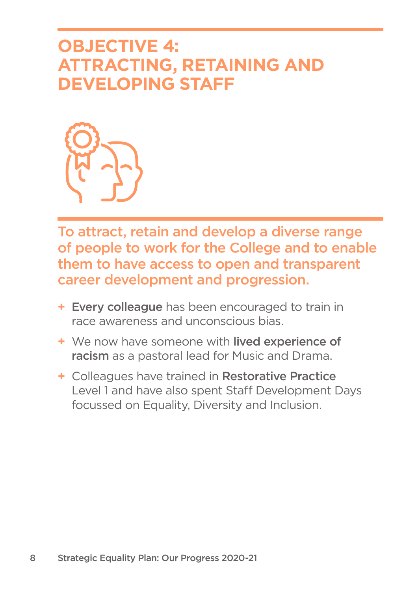### **OBJECTIVE 4: Attracting, Retaining and Developing Staff**



To attract, retain and develop a diverse range of people to work for the College and to enable them to have access to open and transparent career development and progression.

- **+** Every colleague has been encouraged to train in race awareness and unconscious bias.
- **+** We now have someone with lived experience of racism as a pastoral lead for Music and Drama.
- **+** Colleagues have trained in Restorative Practice Level 1 and have also spent Staff Development Days focussed on Equality, Diversity and Inclusion.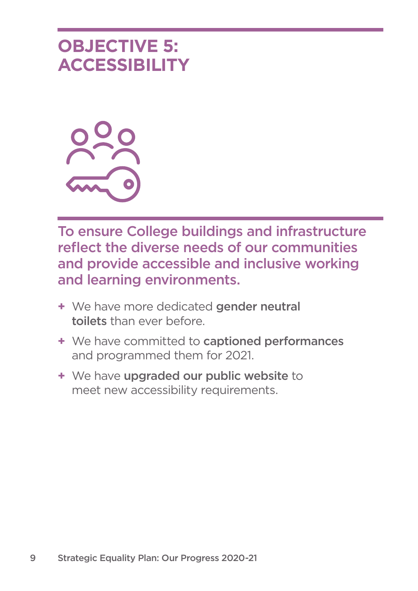### **OBJECTIVE 5: Accessibility**



To ensure College buildings and infrastructure reflect the diverse needs of our communities and provide accessible and inclusive working and learning environments.

- **+** We have more dedicated gender neutral toilets than ever before.
- **+** We have committed to captioned performances and programmed them for 2021.
- **+** We have upgraded our public website to meet new accessibility requirements.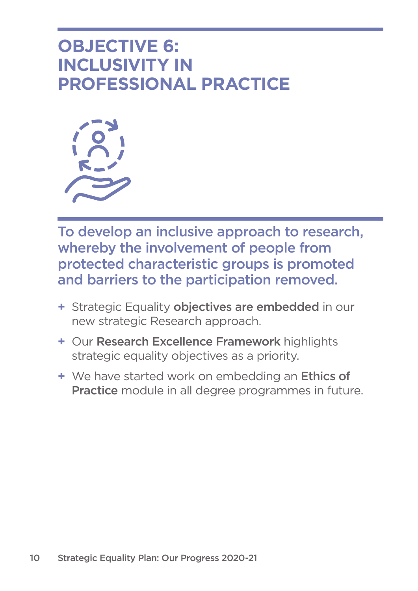### **OBJECTIVE 6: Inclusivity in Professional Practice**



To develop an inclusive approach to research, whereby the involvement of people from protected characteristic groups is promoted and barriers to the participation removed.

- **+** Strategic Equality objectives are embedded in our new strategic Research approach.
- **+** Our Research Excellence Framework highlights strategic equality objectives as a priority.
- **+** We have started work on embedding an Ethics of Practice module in all degree programmes in future.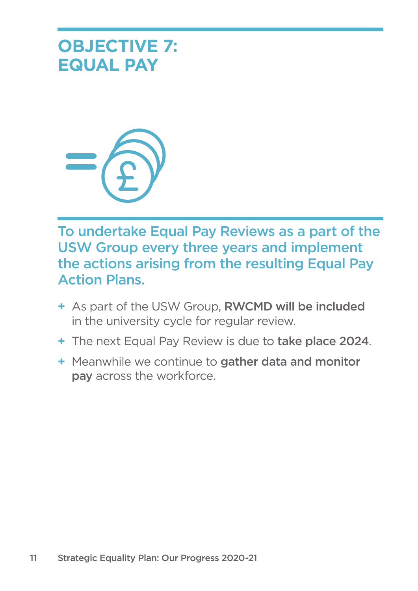



To undertake Equal Pay Reviews as a part of the USW Group every three years and implement the actions arising from the resulting Equal Pay Action Plans.

- **+** As part of the USW Group, RWCMD will be included in the university cycle for regular review.
- **+** The next Equal Pay Review is due to take place 2024.
- **+** Meanwhile we continue to gather data and monitor pay across the workforce.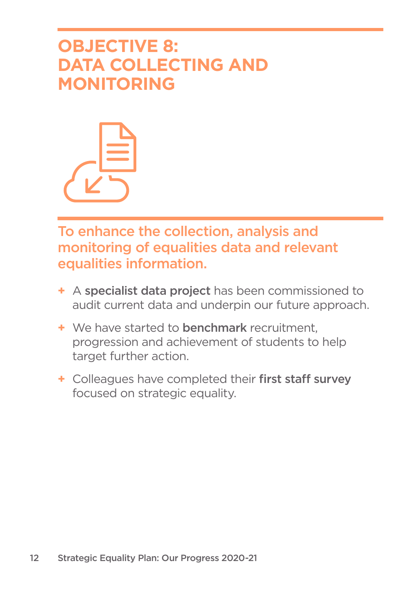### **OBJECTIVE 8: Data Collecting and Monitoring**



To enhance the collection, analysis and monitoring of equalities data and relevant equalities information.

- **+** A specialist data project has been commissioned to audit current data and underpin our future approach.
- **+** We have started to benchmark recruitment, progression and achievement of students to help target further action.
- **+** Colleagues have completed their first staff survey focused on strategic equality.